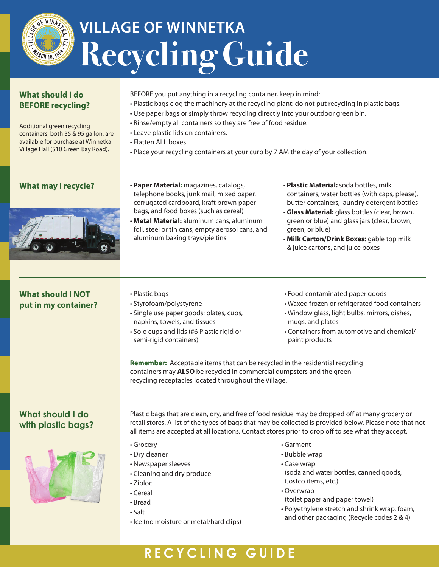## **VILLAGE OF WINNETKA Recycling Guide**

| <b>What should I do</b><br><b>BEFORE recycling?</b><br>Additional green recycling<br>containers, both 35 & 95 gallon, are<br>available for purchase at Winnetka<br>Village Hall (510 Green Bay Road). | BEFORE you put anything in a recycling container, keep in mind:<br>• Plastic bags clog the machinery at the recycling plant: do not put recycling in plastic bags.<br>. Use paper bags or simply throw recycling directly into your outdoor green bin.<br>• Rinse/empty all containers so they are free of food residue.<br>• Leave plastic lids on containers.<br>• Flatten ALL boxes.<br>. Place your recycling containers at your curb by 7 AM the day of your collection. |                                                                                                                                                                                                                                                                                                                                                                      |  |
|-------------------------------------------------------------------------------------------------------------------------------------------------------------------------------------------------------|-------------------------------------------------------------------------------------------------------------------------------------------------------------------------------------------------------------------------------------------------------------------------------------------------------------------------------------------------------------------------------------------------------------------------------------------------------------------------------|----------------------------------------------------------------------------------------------------------------------------------------------------------------------------------------------------------------------------------------------------------------------------------------------------------------------------------------------------------------------|--|
| <b>What may I recycle?</b>                                                                                                                                                                            | · Paper Material: magazines, catalogs,<br>telephone books, junk mail, mixed paper,<br>corrugated cardboard, kraft brown paper<br>bags, and food boxes (such as cereal)<br>. Metal Material: aluminum cans, aluminum<br>foil, steel or tin cans, empty aerosol cans, and<br>aluminum baking trays/pie tins                                                                                                                                                                     | · Plastic Material: soda bottles, milk<br>containers, water bottles (with caps, please),<br>butter containers, laundry detergent bottles<br>· Glass Material: glass bottles (clear, brown,<br>green or blue) and glass jars (clear, brown,<br>green, or blue)<br>. Milk Carton/Drink Boxes: gable top milk<br>& juice cartons, and juice boxes                       |  |
| <b>What should I NOT</b><br>put in my container?                                                                                                                                                      | • Plastic bags<br>· Styrofoam/polystyrene<br>· Single use paper goods: plates, cups,<br>napkins, towels, and tissues<br>· Solo cups and lids (#6 Plastic rigid or<br>semi-rigid containers)<br>Remember: Acceptable items that can be recycled in the residential recycling<br>containers may ALSO be recycled in commercial dumpsters and the green<br>recycling receptacles located throughout the Village.                                                                 | · Food-contaminated paper goods<br>• Waxed frozen or refrigerated food containers<br>· Window glass, light bulbs, mirrors, dishes,<br>mugs, and plates<br>• Containers from automotive and chemical/<br>paint products                                                                                                                                               |  |
| What should I do<br>with plastic bags?                                                                                                                                                                | Plastic bags that are clean, dry, and free of food residue may be dropped off at many grocery or<br>all items are accepted at all locations. Contact stores prior to drop off to see what they accept.<br>• Grocery<br>• Dry cleaner<br>• Newspaper sleeves<br>• Cleaning and dry produce<br>• Ziploc<br>• Cereal<br>• Bread<br>· Salt<br>· Ice (no moisture or metal/hard clips)                                                                                             | retail stores. A list of the types of bags that may be collected is provided below. Please note that not<br>• Garment<br>• Bubble wrap<br>• Case wrap<br>(soda and water bottles, canned goods,<br>Costco items, etc.)<br>• Overwrap<br>(toilet paper and paper towel)<br>• Polyethylene stretch and shrink wrap, foam,<br>and other packaging (Recycle codes 2 & 4) |  |

## **RECYCLING GUIDE**